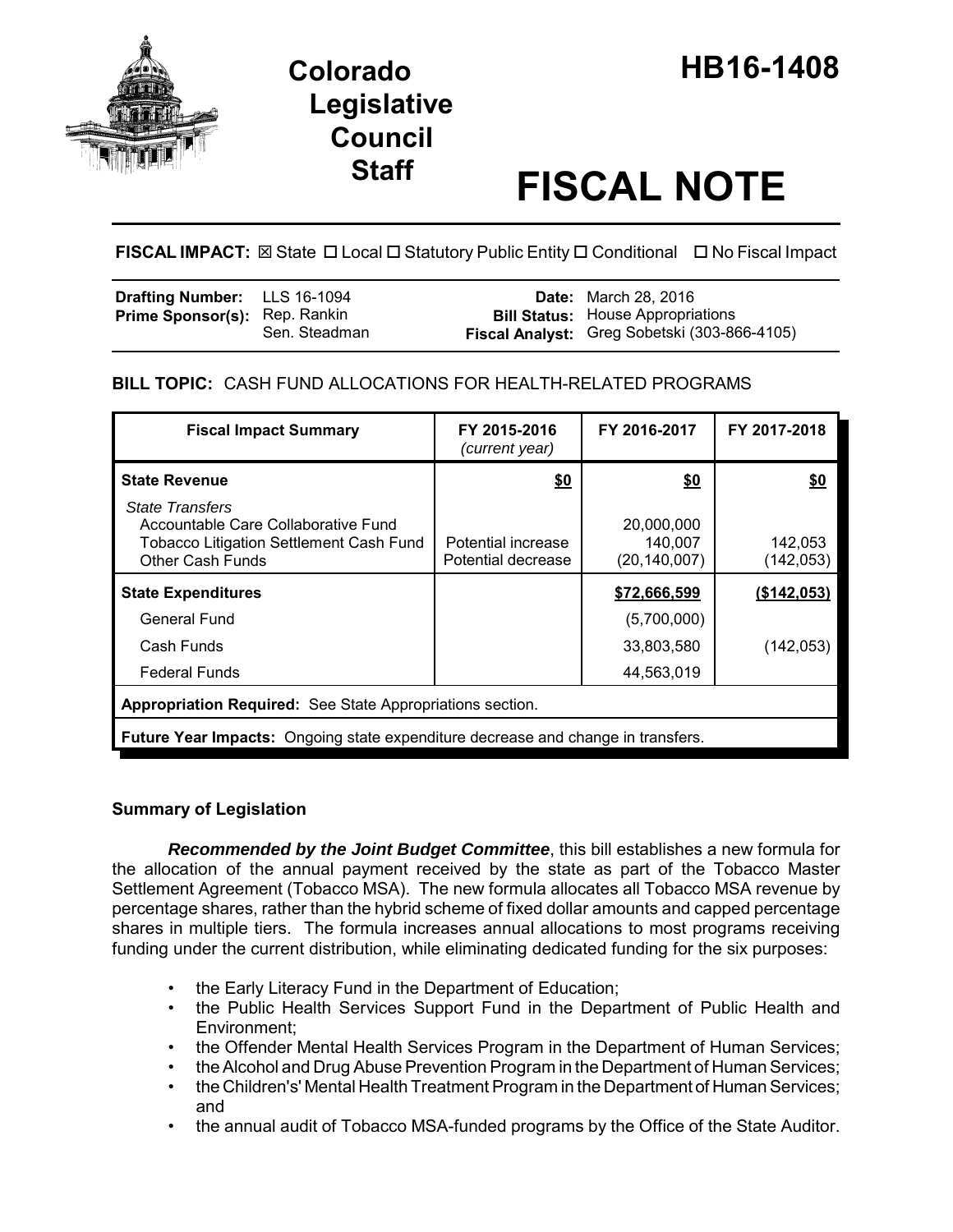

# **Staff FISCAL NOTE**

# **FISCAL IMPACT:** ⊠ State □ Local □ Statutory Public Entity □ Conditional □ No Fiscal Impact

| <b>Drafting Number:</b> LLS 16-1094  |               | <b>Date:</b> March 28, 2016                                                              |
|--------------------------------------|---------------|------------------------------------------------------------------------------------------|
| <b>Prime Sponsor(s): Rep. Rankin</b> | Sen. Steadman | <b>Bill Status:</b> House Appropriations<br>Fiscal Analyst: Greg Sobetski (303-866-4105) |

## **BILL TOPIC:** CASH FUND ALLOCATIONS FOR HEALTH-RELATED PROGRAMS

| <b>Fiscal Impact Summary</b>                                                                                                               | FY 2015-2016<br>(current year)           | FY 2016-2017                            | FY 2017-2018          |  |  |
|--------------------------------------------------------------------------------------------------------------------------------------------|------------------------------------------|-----------------------------------------|-----------------------|--|--|
| <b>State Revenue</b>                                                                                                                       | <u>\$0</u>                               | \$0                                     | \$0                   |  |  |
| <b>State Transfers</b><br>Accountable Care Collaborative Fund<br><b>Tobacco Litigation Settlement Cash Fund</b><br><b>Other Cash Funds</b> | Potential increase<br>Potential decrease | 20,000,000<br>140.007<br>(20, 140, 007) | 142,053<br>(142, 053) |  |  |
| <b>State Expenditures</b>                                                                                                                  |                                          | \$72,666,599                            | (\$142,053)           |  |  |
| General Fund                                                                                                                               |                                          | (5,700,000)                             |                       |  |  |
| Cash Funds                                                                                                                                 |                                          | 33,803,580                              | (142, 053)            |  |  |
| <b>Federal Funds</b>                                                                                                                       |                                          | 44,563,019                              |                       |  |  |
| Appropriation Required: See State Appropriations section.                                                                                  |                                          |                                         |                       |  |  |
| <b>Future Year Impacts:</b> Ongoing state expenditure decrease and change in transfers.                                                    |                                          |                                         |                       |  |  |

## **Summary of Legislation**

*Recommended by the Joint Budget Committee*, this bill establishes a new formula for the allocation of the annual payment received by the state as part of the Tobacco Master Settlement Agreement (Tobacco MSA). The new formula allocates all Tobacco MSA revenue by percentage shares, rather than the hybrid scheme of fixed dollar amounts and capped percentage shares in multiple tiers. The formula increases annual allocations to most programs receiving funding under the current distribution, while eliminating dedicated funding for the six purposes:

- the Early Literacy Fund in the Department of Education;
- the Public Health Services Support Fund in the Department of Public Health and Environment;
- the Offender Mental Health Services Program in the Department of Human Services;
- the Alcohol and Drug Abuse Prevention Program in the Department of Human Services;
- the Children's' Mental Health Treatment Program in the Department of Human Services; and
- the annual audit of Tobacco MSA-funded programs by the Office of the State Auditor.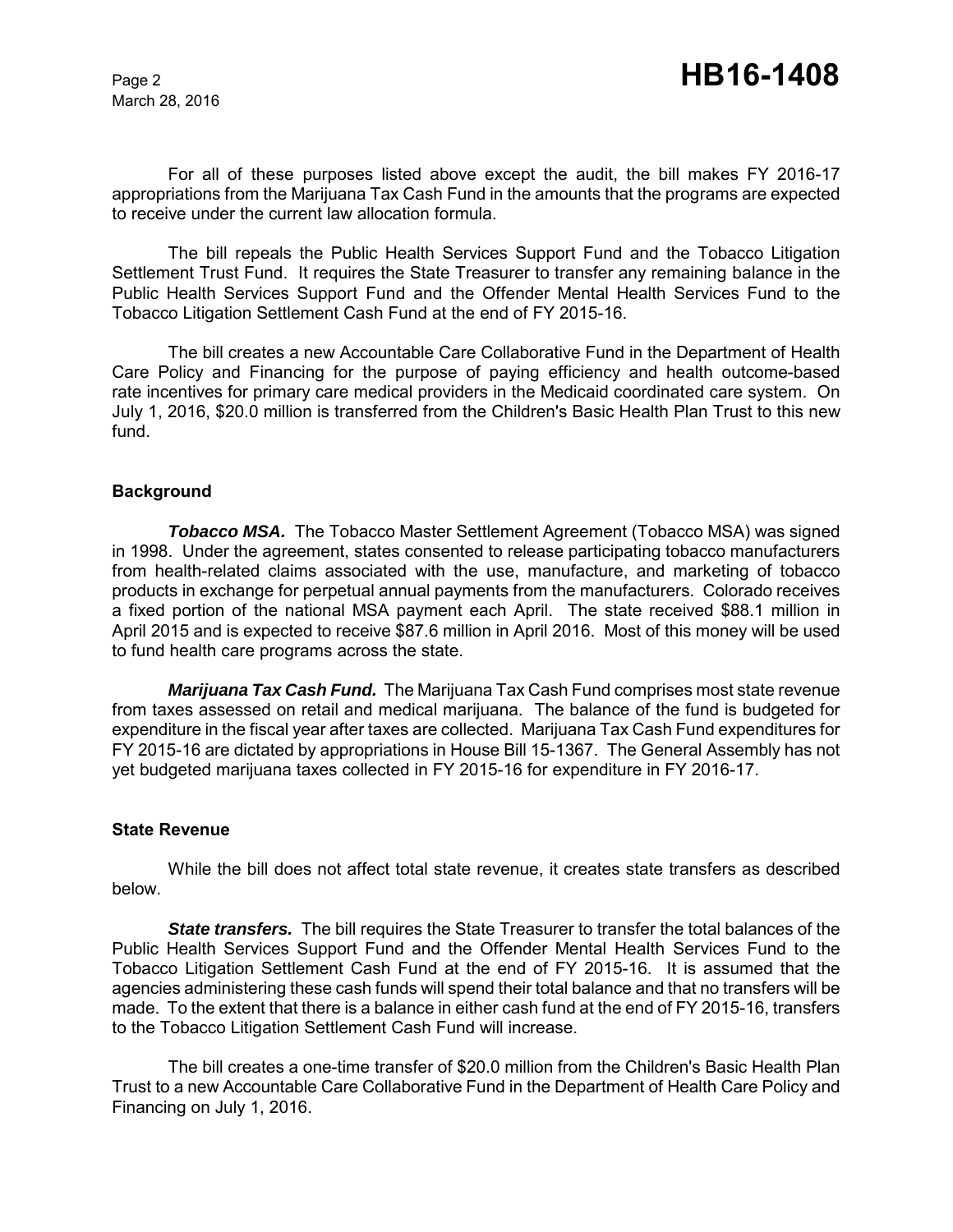For all of these purposes listed above except the audit, the bill makes FY 2016-17 appropriations from the Marijuana Tax Cash Fund in the amounts that the programs are expected to receive under the current law allocation formula.

The bill repeals the Public Health Services Support Fund and the Tobacco Litigation Settlement Trust Fund. It requires the State Treasurer to transfer any remaining balance in the Public Health Services Support Fund and the Offender Mental Health Services Fund to the Tobacco Litigation Settlement Cash Fund at the end of FY 2015-16.

The bill creates a new Accountable Care Collaborative Fund in the Department of Health Care Policy and Financing for the purpose of paying efficiency and health outcome-based rate incentives for primary care medical providers in the Medicaid coordinated care system. On July 1, 2016, \$20.0 million is transferred from the Children's Basic Health Plan Trust to this new fund.

#### **Background**

*Tobacco MSA.* The Tobacco Master Settlement Agreement (Tobacco MSA) was signed in 1998. Under the agreement, states consented to release participating tobacco manufacturers from health-related claims associated with the use, manufacture, and marketing of tobacco products in exchange for perpetual annual payments from the manufacturers. Colorado receives a fixed portion of the national MSA payment each April. The state received \$88.1 million in April 2015 and is expected to receive \$87.6 million in April 2016. Most of this money will be used to fund health care programs across the state.

*Marijuana Tax Cash Fund.* The Marijuana Tax Cash Fund comprises most state revenue from taxes assessed on retail and medical marijuana. The balance of the fund is budgeted for expenditure in the fiscal year after taxes are collected. Marijuana Tax Cash Fund expenditures for FY 2015-16 are dictated by appropriations in House Bill 15-1367. The General Assembly has not yet budgeted marijuana taxes collected in FY 2015-16 for expenditure in FY 2016-17.

#### **State Revenue**

While the bill does not affect total state revenue, it creates state transfers as described below.

*State transfers.* The bill requires the State Treasurer to transfer the total balances of the Public Health Services Support Fund and the Offender Mental Health Services Fund to the Tobacco Litigation Settlement Cash Fund at the end of FY 2015-16. It is assumed that the agencies administering these cash funds will spend their total balance and that no transfers will be made. To the extent that there is a balance in either cash fund at the end of FY 2015-16, transfers to the Tobacco Litigation Settlement Cash Fund will increase.

The bill creates a one-time transfer of \$20.0 million from the Children's Basic Health Plan Trust to a new Accountable Care Collaborative Fund in the Department of Health Care Policy and Financing on July 1, 2016.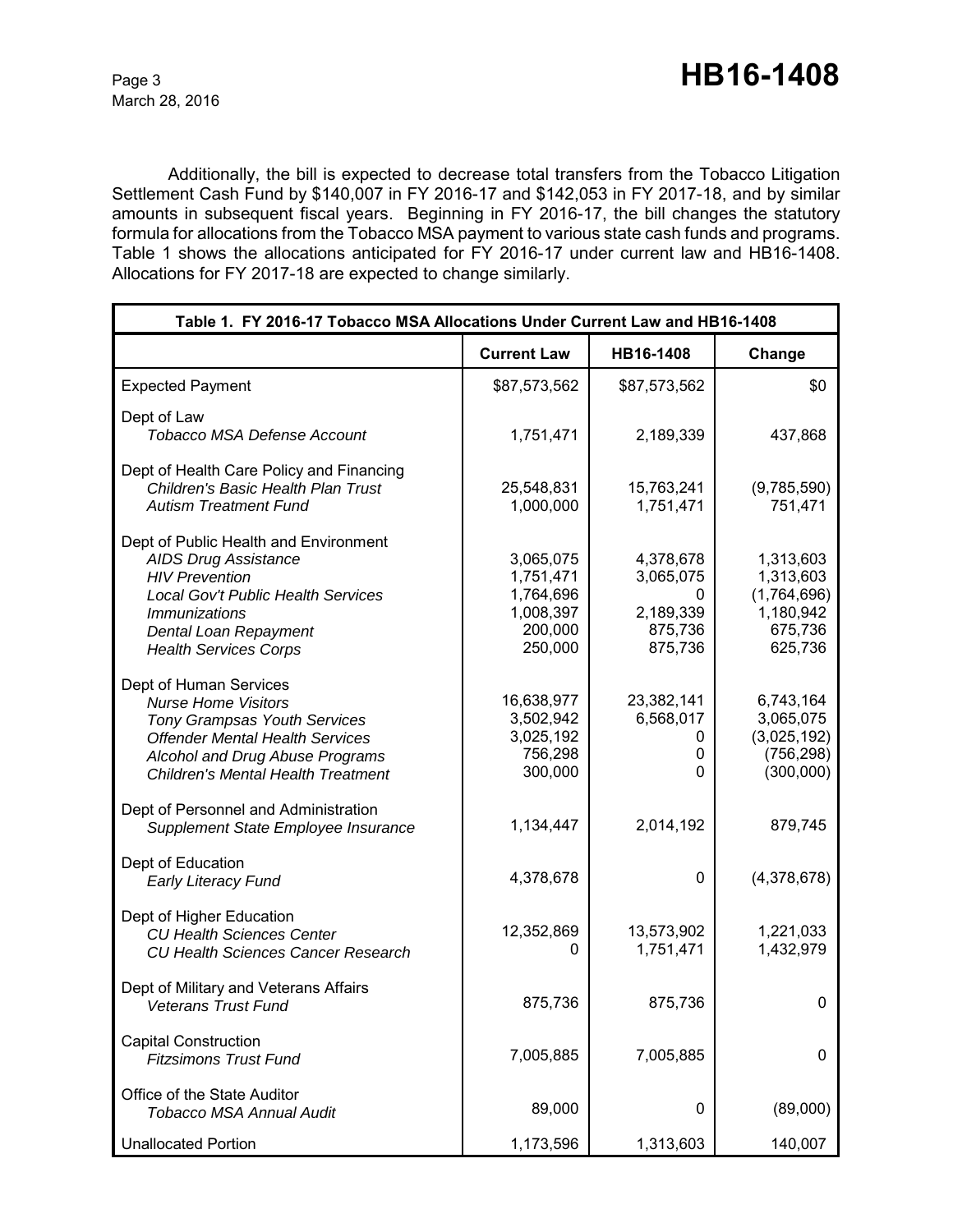Additionally, the bill is expected to decrease total transfers from the Tobacco Litigation Settlement Cash Fund by \$140,007 in FY 2016-17 and \$142,053 in FY 2017-18, and by similar amounts in subsequent fiscal years. Beginning in FY 2016-17, the bill changes the statutory formula for allocations from the Tobacco MSA payment to various state cash funds and programs. Table 1 shows the allocations anticipated for FY 2016-17 under current law and HB16-1408. Allocations for FY 2017-18 are expected to change similarly.

| Table 1. FY 2016-17 Tobacco MSA Allocations Under Current Law and HB16-1408                                                                                                                                           |                                                                        |                                                                |                                                                          |  |
|-----------------------------------------------------------------------------------------------------------------------------------------------------------------------------------------------------------------------|------------------------------------------------------------------------|----------------------------------------------------------------|--------------------------------------------------------------------------|--|
|                                                                                                                                                                                                                       | <b>Current Law</b>                                                     | HB16-1408                                                      | Change                                                                   |  |
| <b>Expected Payment</b>                                                                                                                                                                                               | \$87,573,562                                                           | \$87,573,562                                                   | \$0                                                                      |  |
| Dept of Law<br><b>Tobacco MSA Defense Account</b>                                                                                                                                                                     | 1,751,471                                                              | 2,189,339                                                      | 437,868                                                                  |  |
| Dept of Health Care Policy and Financing<br><b>Children's Basic Health Plan Trust</b><br><b>Autism Treatment Fund</b>                                                                                                 | 25,548,831<br>1,000,000                                                | 15,763,241<br>1,751,471                                        | (9,785,590)<br>751,471                                                   |  |
| Dept of Public Health and Environment<br><b>AIDS Drug Assistance</b><br><b>HIV Prevention</b><br>Local Gov't Public Health Services<br><i>Immunizations</i><br>Dental Loan Repayment<br><b>Health Services Corps</b>  | 3,065,075<br>1,751,471<br>1,764,696<br>1,008,397<br>200,000<br>250,000 | 4,378,678<br>3,065,075<br>0<br>2,189,339<br>875,736<br>875,736 | 1,313,603<br>1,313,603<br>(1,764,696)<br>1,180,942<br>675,736<br>625,736 |  |
| Dept of Human Services<br><b>Nurse Home Visitors</b><br><b>Tony Grampsas Youth Services</b><br><b>Offender Mental Health Services</b><br>Alcohol and Drug Abuse Programs<br><b>Children's Mental Health Treatment</b> | 16,638,977<br>3,502,942<br>3,025,192<br>756,298<br>300,000             | 23,382,141<br>6,568,017<br>0<br>0<br>0                         | 6,743,164<br>3,065,075<br>(3,025,192)<br>(756, 298)<br>(300,000)         |  |
| Dept of Personnel and Administration<br>Supplement State Employee Insurance                                                                                                                                           | 1,134,447                                                              | 2,014,192                                                      | 879,745                                                                  |  |
| Dept of Education<br><b>Early Literacy Fund</b>                                                                                                                                                                       | 4,378,678                                                              | 0                                                              | (4,378,678)                                                              |  |
| Dept of Higher Education<br><b>CU Health Sciences Center</b><br><b>CU Health Sciences Cancer Research</b>                                                                                                             | 12,352,869<br>0                                                        | 13,573,902<br>1,751,471                                        | 1,221,033<br>1,432,979                                                   |  |
| Dept of Military and Veterans Affairs<br>Veterans Trust Fund                                                                                                                                                          | 875,736                                                                | 875,736                                                        | 0                                                                        |  |
| <b>Capital Construction</b><br><b>Fitzsimons Trust Fund</b>                                                                                                                                                           | 7,005,885                                                              | 7,005,885                                                      | 0                                                                        |  |
| Office of the State Auditor<br><b>Tobacco MSA Annual Audit</b>                                                                                                                                                        | 89,000                                                                 | 0                                                              | (89,000)                                                                 |  |
| <b>Unallocated Portion</b>                                                                                                                                                                                            | 1,173,596                                                              | 1,313,603                                                      | 140,007                                                                  |  |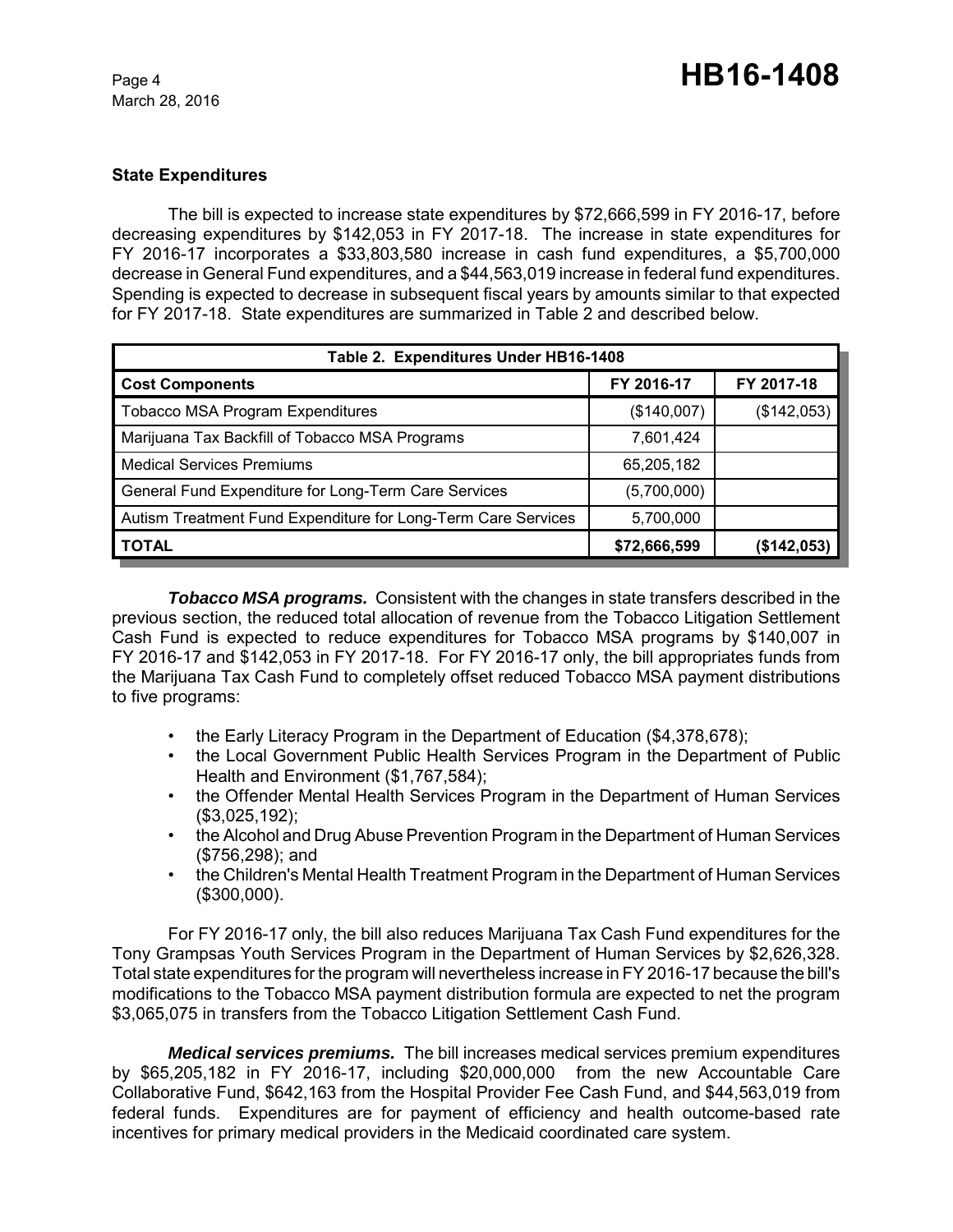## **State Expenditures**

The bill is expected to increase state expenditures by \$72,666,599 in FY 2016-17, before decreasing expenditures by \$142,053 in FY 2017-18. The increase in state expenditures for FY 2016-17 incorporates a \$33,803,580 increase in cash fund expenditures, a \$5,700,000 decrease in General Fund expenditures, and a \$44,563,019 increase in federal fund expenditures. Spending is expected to decrease in subsequent fiscal years by amounts similar to that expected for FY 2017-18. State expenditures are summarized in Table 2 and described below.

| Table 2. Expenditures Under HB16-1408                         |              |             |  |  |
|---------------------------------------------------------------|--------------|-------------|--|--|
| <b>Cost Components</b>                                        | FY 2016-17   | FY 2017-18  |  |  |
| <b>Tobacco MSA Program Expenditures</b>                       | (\$140,007)  | (\$142,053) |  |  |
| Marijuana Tax Backfill of Tobacco MSA Programs                | 7,601,424    |             |  |  |
| <b>Medical Services Premiums</b>                              | 65,205,182   |             |  |  |
| General Fund Expenditure for Long-Term Care Services          | (5,700,000)  |             |  |  |
| Autism Treatment Fund Expenditure for Long-Term Care Services | 5,700,000    |             |  |  |
| <b>TOTAL</b>                                                  | \$72,666,599 | (\$142,053) |  |  |

*Tobacco MSA programs.* Consistent with the changes in state transfers described in the previous section, the reduced total allocation of revenue from the Tobacco Litigation Settlement Cash Fund is expected to reduce expenditures for Tobacco MSA programs by \$140,007 in FY 2016-17 and \$142,053 in FY 2017-18. For FY 2016-17 only, the bill appropriates funds from the Marijuana Tax Cash Fund to completely offset reduced Tobacco MSA payment distributions to five programs:

- the Early Literacy Program in the Department of Education (\$4,378,678);
- the Local Government Public Health Services Program in the Department of Public Health and Environment (\$1,767,584);
- the Offender Mental Health Services Program in the Department of Human Services (\$3,025,192);
- the Alcohol and Drug Abuse Prevention Program in the Department of Human Services (\$756,298); and
- the Children's Mental Health Treatment Program in the Department of Human Services (\$300,000).

For FY 2016-17 only, the bill also reduces Marijuana Tax Cash Fund expenditures for the Tony Grampsas Youth Services Program in the Department of Human Services by \$2,626,328. Total state expenditures for the program will nevertheless increase in FY 2016-17 because the bill's modifications to the Tobacco MSA payment distribution formula are expected to net the program \$3,065,075 in transfers from the Tobacco Litigation Settlement Cash Fund.

*Medical services premiums.* The bill increases medical services premium expenditures by \$65,205,182 in FY 2016-17, including \$20,000,000 from the new Accountable Care Collaborative Fund, \$642,163 from the Hospital Provider Fee Cash Fund, and \$44,563,019 from federal funds. Expenditures are for payment of efficiency and health outcome-based rate incentives for primary medical providers in the Medicaid coordinated care system.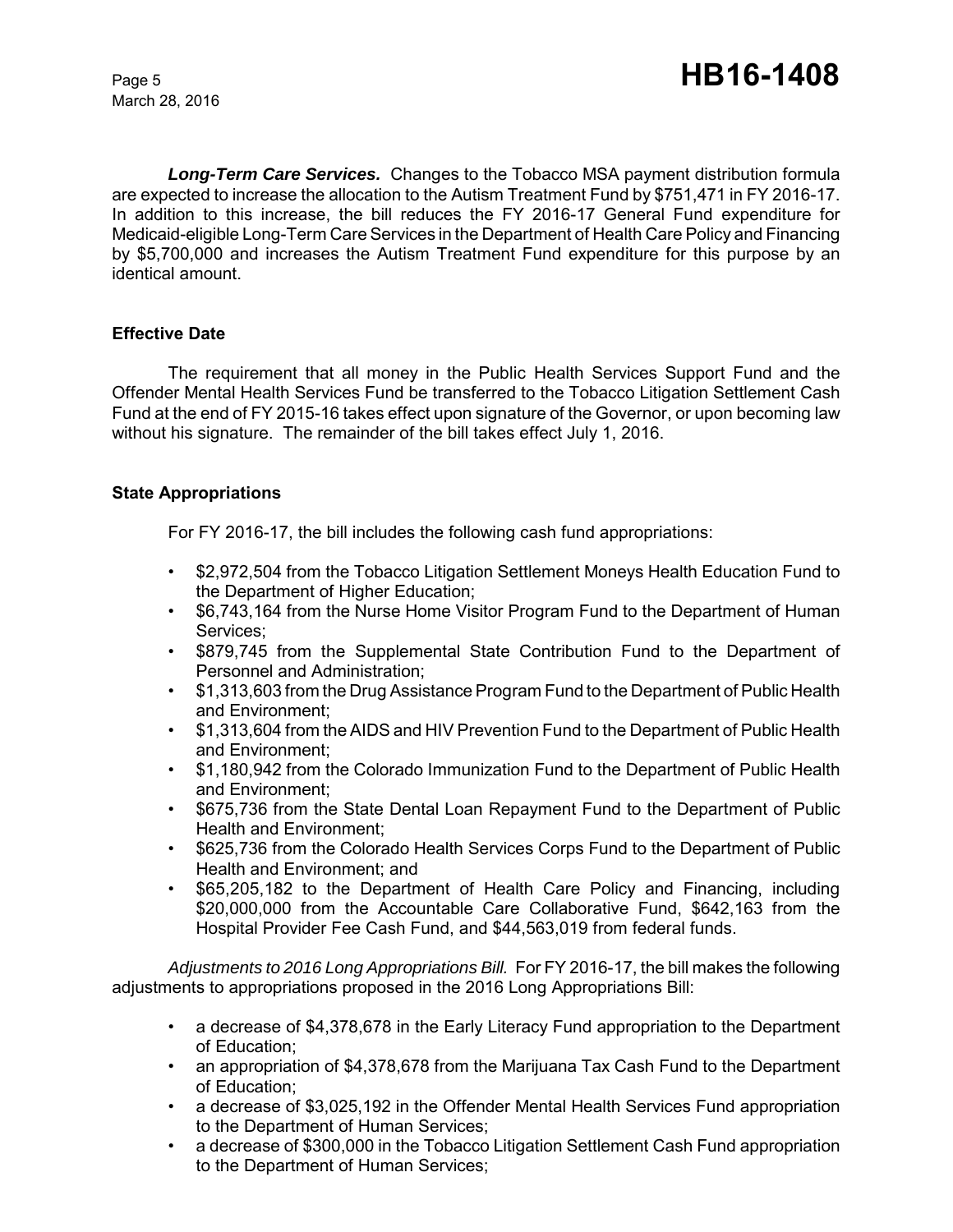*Long-Term Care Services.* Changes to the Tobacco MSA payment distribution formula are expected to increase the allocation to the Autism Treatment Fund by \$751,471 in FY 2016-17. In addition to this increase, the bill reduces the FY 2016-17 General Fund expenditure for Medicaid-eligible Long-Term Care Services in the Department of Health Care Policy and Financing by \$5,700,000 and increases the Autism Treatment Fund expenditure for this purpose by an identical amount.

## **Effective Date**

The requirement that all money in the Public Health Services Support Fund and the Offender Mental Health Services Fund be transferred to the Tobacco Litigation Settlement Cash Fund at the end of FY 2015-16 takes effect upon signature of the Governor, or upon becoming law without his signature. The remainder of the bill takes effect July 1, 2016.

## **State Appropriations**

For FY 2016-17, the bill includes the following cash fund appropriations:

- \$2,972,504 from the Tobacco Litigation Settlement Moneys Health Education Fund to the Department of Higher Education;
- \$6,743,164 from the Nurse Home Visitor Program Fund to the Department of Human Services;
- \$879,745 from the Supplemental State Contribution Fund to the Department of Personnel and Administration;
- \$1,313,603 from the Drug Assistance Program Fund to the Department of Public Health and Environment;
- \$1,313,604 from the AIDS and HIV Prevention Fund to the Department of Public Health and Environment;
- \$1,180,942 from the Colorado Immunization Fund to the Department of Public Health and Environment;
- \$675,736 from the State Dental Loan Repayment Fund to the Department of Public Health and Environment;
- \$625,736 from the Colorado Health Services Corps Fund to the Department of Public Health and Environment; and
- \$65,205,182 to the Department of Health Care Policy and Financing, including \$20,000,000 from the Accountable Care Collaborative Fund, \$642,163 from the Hospital Provider Fee Cash Fund, and \$44,563,019 from federal funds.

*Adjustments to 2016 Long Appropriations Bill.* For FY 2016-17, the bill makes the following adjustments to appropriations proposed in the 2016 Long Appropriations Bill:

- a decrease of \$4,378,678 in the Early Literacy Fund appropriation to the Department of Education;
- an appropriation of \$4,378,678 from the Marijuana Tax Cash Fund to the Department of Education;
- a decrease of \$3,025,192 in the Offender Mental Health Services Fund appropriation to the Department of Human Services;
- a decrease of \$300,000 in the Tobacco Litigation Settlement Cash Fund appropriation to the Department of Human Services;